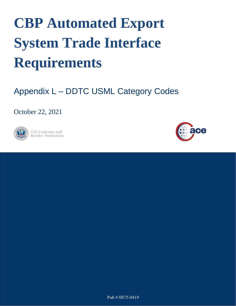## **CBP Automated Export System Trade Interface Requirements**

## Appendix L – DDTC USML Category Codes

October 22, 2021



**U.S. Customs and Border Protection** 



Pub # 0875-0419